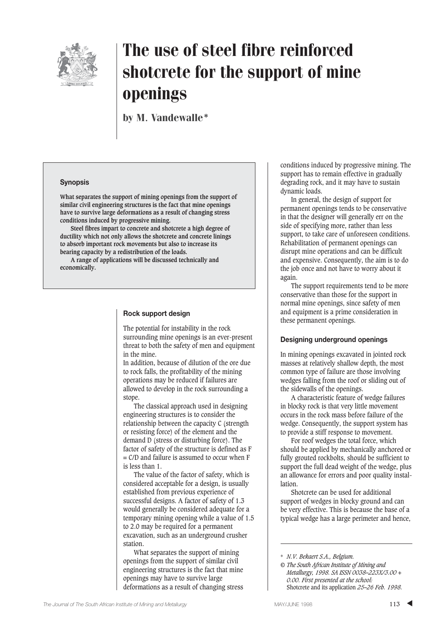

by M. Vandewalle\*

### **Synopsis**

**What separates the support of mining openings from the support of similar civil engineering structures is the fact that mine openings have to survive large deformations as a result of changing stress conditions induced by progressive mining.**

**Steel fibres impart to concrete and shotcrete a high degree of ductility which not only allows the shotcrete and concrete linings to absorb important rock movements but also to increase its bearing capacity by a redistribution of the loads.**

**A range of applications will be discussed technically and economically.**

### **Rock support design**

The potential for instability in the rock surrounding mine openings is an ever-present threat to both the safety of men and equipment in the mine.

In addition, because of dilution of the ore due to rock falls, the profitability of the mining operations may be reduced if failures are allowed to develop in the rock surrounding a stope.

The classical approach used in designing engineering structures is to consider the relationship between the capacity C (strength or resisting force) of the element and the demand D (stress or disturbing force). The factor of safety of the structure is defined as F  $= C/D$  and failure is assumed to occur when  $F =$ is less than 1.

The value of the factor of safety, which is considered acceptable for a design, is usually established from previous experience of successful designs. A factor of safety of 1.3 would generally be considered adequate for a temporary mining opening while a value of 1.5 to 2.0 may be required for a permanent excavation, such as an underground crusher station.

What separates the support of mining openings from the support of similar civil engineering structures is the fact that mine openings may have to survive large deformations as a result of changing stress

conditions induced by progressive mining. The support has to remain effective in gradually degrading rock, and it may have to sustain dynamic loads.

In general, the design of support for permanent openings tends to be conservative in that the designer will generally err on the side of specifying more, rather than less support, to take care of unforeseen conditions. Rehabilitation of permanent openings can disrupt mine operations and can be difficult and expensive. Consequently, the aim is to do the job once and not have to worry about it again.

The support requirements tend to be more conservative than those for the support in normal mine openings, since safety of men and equipment is a prime consideration in these permanent openings.

### **Designing underground openings**

In mining openings excavated in jointed rock masses at relatively shallow depth, the most common type of failure are those involving wedges falling from the roof or sliding out of the sidewalls of the openings.

A characteristic feature of wedge failures in blocky rock is that very little movement occurs in the rock mass before failure of the wedge. Consequently, the support system has to provide a stiff response to movement.

For roof wedges the total force, which should be applied by mechanically anchored or fully grouted rockbolts, should be sufficient to support the full dead weight of the wedge, plus an allowance for errors and poor quality instal**lation** 

Shotcrete can be used for additional support of wedges in blocky ground and can be very effective. This is because the base of a typical wedge has a large perimeter and hence,

<sup>\*</sup> *N.V. Bekaert S.A., Belgium.*

*<sup>©</sup> The South African Institute of Mining and Metallurgy, 1998. SA ISSN 0038–223X/3.00 + 0.00. First presented at the school:* Shotcrete and its application *25–26 Feb. 1998.*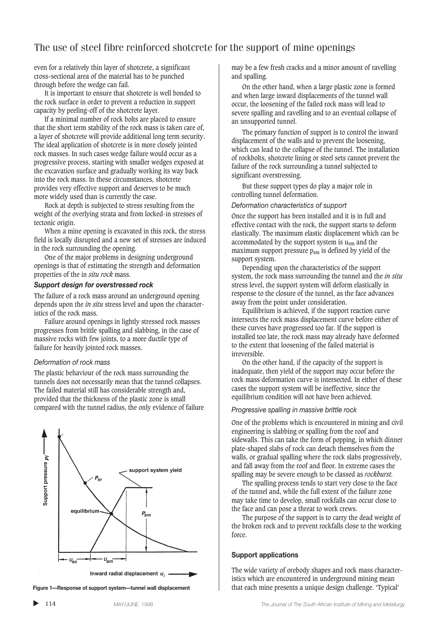even for a relatively thin layer of shotcrete, a significant cross-sectional area of the material has to be punched through before the wedge can fail.

It is important to ensure that shotcrete is well bonded to the rock surface in order to prevent a reduction in support capacity by peeling-off of the shotcrete layer.

If a minimal number of rock bolts are placed to ensure that the short term stability of the rock mass is taken care of, a layer of shotcrete will provide additional long term security. The ideal application of shotcrete is in more closely jointed rock masses. In such cases wedge failure would occur as a progressive process, starting with smaller wedges exposed at the excavation surface and gradually working its way back into the rock mass. In these circumstances, shotcrete provides very effective support and deserves to be much more widely used than is currently the case.

Rock at depth is subjected to stress resulting from the weight of the overlying strata and from locked-in stresses of tectonic origin.

When a mine opening is excavated in this rock, the stress field is locally disrupted and a new set of stresses are induced in the rock surrounding the opening.

One of the major problems in designing underground openings is that of estimating the strength and deformation properties of the in *situ rock* mass.

### *Support design for overstressed rock*

The failure of a rock mass around an underground opening depends upon the *in situ* stress level and upon the characteristics of the rock mass.

Failure around openings in lightly stressed rock masses progresses from brittle spalling and slabbing, in the case of massive rocks with few joints, to a more ductile type of failure for heavily jointed rock masses.

### *Deformation of rock mass*

The plastic behaviour of the rock mass surrounding the tunnels does not necessarily mean that the tunnel collapses. The failed material still has considerable strength and, provided that the thickness of the plastic zone is small compared with the tunnel radius, the only evidence of failure



**Figure 1—Response of support system—tunnel wall displacement**

may be a few fresh cracks and a minor amount of ravelling and spalling.

On the other hand, when a large plastic zone is formed and when large inward displacements of the tunnel wall occur, the loosening of the failed rock mass will lead to severe spalling and ravelling and to an eventual collapse of an unsupported tunnel.

The primary function of support is to control the inward displacement of the walls and to prevent the loosening, which can lead to the collapse of the tunnel. The installation of rockbolts, shotcrete lining or steel sets cannot prevent the failure of the rock surrounding a tunnel subjected to significant overstressing.

But these support types do play a major role in controlling tunnel deformation.

#### *Deformation characteristics of support*

Once the support has been installed and it is in full and effective contact with the rock, the support starts to deform elastically. The maximum elastic displacement which can be accommodated by the support system is  $u_{\rm sm}$  and the maximum support pressure  $p_{\rm sm}$  is defined by yield of the support system.

Depending upon the characteristics of the support system, the rock mass surrounding the tunnel and the *in situ* stress level, the support system will deform elastically in response to the closure of the tunnel, as the face advances away from the point under consideration.

Equilibrium is achieved, if the support reaction curve intersects the rock mass displacement curve before either of these curves have progressed too far. If the support is installed too late, the rock mass may already have deformed to the extent that loosening of the failed material is irreversible.

On the other hand, if the capacity of the support is inadequate, then yield of the support may occur before the rock mass deformation curve is intersected. In either of these cases the support system will be ineffective, since the equilibrium condition will not have been achieved.

#### *Progressive spalling in massive brittle rock*

One of the problems which is encountered in mining and civil engineering is slabbing or spalling from the roof and sidewalls. This can take the form of popping, in which dinner plate-shaped slabs of rock can detach themselves from the walls, or gradual spalling where the rock slabs progressively, and fall away from the roof and floor. In extreme cases the spalling may be severe enough to be classed as *rockburst.*

The spalling process tends to start very close to the face of the tunnel and, while the full extent of the failure zone may take time to develop, small rockfalls can occur close to the face and can pose a threat to work crews.

The purpose of the support is to carry the dead weight of the broken rock and to prevent rockfalls close to the working force.

#### **Support applications**

The wide variety of orebody shapes and rock mass characteristics which are encountered in underground mining mean that each mine presents a unique design challenge. 'Typical'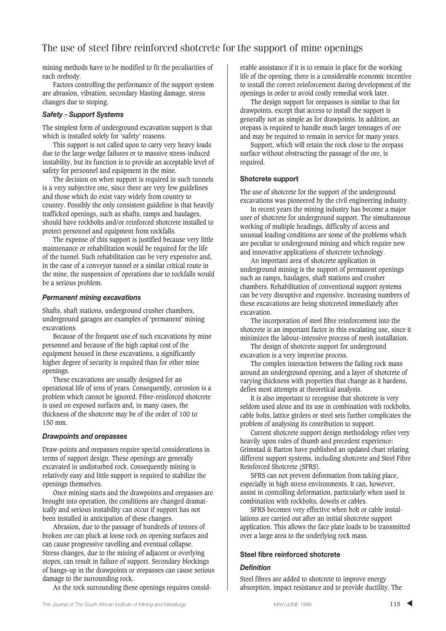mining methods have to be modified to fit the peculiarities of each orebody.

Factors controlling the performance of the support system are abrasion, vibration, secondary blasting damage, stress changes due to stoping.

### *Safety - Support Systems*

The simplest form of underground excavation support is that which is installed solely for 'safety' reasons.

This support is not called upon to carry very heavy loads due to the large wedge failures or to massive stress-induced instability, but its function is to provide an acceptable level of safety for personnel and equipment in the mine.

The decision on when support is required in such tunnels is a very subjective one, since there are very few guidelines and those which do exist vary widely from country to country. Possibly the only consistent guideline is that heavily trafficked openings, such as shafts, ramps and haulages, should have rockbolts and/or reinforced shotcrete installed to protect personnel and equipment from rockfalls.

The expense of this support is justified because very little maintenance or rehabilitation would be required for the life of the tunnel. Such rehabilitation can be very expensive and, in the case of a conveyor tunnel or a similar critical route in the mine, the suspension of operations due to rockfalls would be a serious problem.

### *Permanent mining excavations*

Shafts, shaft stations, underground crusher chambers, underground garages are examples of 'permanent' mining excavations.

Because of the frequent use of such excavations by mine personnel and because of the high capital cost of the equipment housed in these excavations, a significantly higher degree of security is required than for other mine openings.

These excavations are usually designed for an operational life of tens of years. Consequently, corrosion is a problem which cannot be ignored. Fibre-reinforced shotcrete is used on exposed surfaces and, in many cases, the thickness of the shotcrete may be of the order of 100 to 150 mm.

### *Drawpoints and orepasses*

Draw-points and orepasses require special considerations in terms of support design. These openings are generally excavated in undisturbed rock. Consequently mining is relatively easy and little support is required to stabilize the openings themselves.

Once mining starts and the drawpoints and orepasses are brought into operation, the conditions are changed dramatically and serious instability can occur if support has not been installed in anticipation of these changes.

Abrasion, due to the passage of hundreds of tonnes of broken ore can pluck at loose rock on opening surfaces and can cause progressive ravelling and eventual collapse. Stress changes, due to the mining of adjacent or overlying stopes, can result in failure of support. Secondary blockings of hangs-up in the drawpoints or orepasses can cause serious damage to the surrounding rock.

As the rock surrounding these openings requires consid-

erable assistance if it is to remain in place for the working life of the opening, there is a considerable economic incentive to install the correct reinforcement during development of the openings in order to avoid costly remedial work later.

The design support for orepasses is similar to that for drawpoints, except that access to install the support is generally not as simple as for drawpoints. In addition, an orepass is required to handle much larger tonnages of ore and may be required to remain in service for many years.

Support, which will retain the rock close to the orepass surface without obstructing the passage of the ore, is required.

### **Shotcrete support**

The use of shotcrete for the support of the underground excavations was pioneered by the civil engineering industry.

In recent years the mining industry has become a major user of shotcrete for underground support. The simultaneous working of multiple headings, difficulty of access and unusual loading conditions are some of the problems which are peculiar to underground mining and which require new and innovative applications of shotcrete technology.

An important area of shotcrete application in underground mining is the support of permanent openings such as ramps, haulages, shaft stations and crusher chambers. Rehabilitation of conventional support systems can be very disruptive and expensive. Increasing numbers of these excavations are being shotcreted immediately after excavation.

The incorporation of steel fibre reinforcement into the shotcrete is an important factor in this escalating use, since it minimizes the labour-intensive process of mesh installation.

The design of shotcrete support for underground excavation is a very imprecise process.

The complex interaction between the failing rock mass around an underground opening, and a layer of shotcrete of varying thickness with properties that change as it hardens, defies most attempts at theoretical analysis.

It is also important to recognise that shotcrete is very seldom used alone and its use in combination with rockbolts. cable bolts, lattice girders or steel sets further complicates the problem of analysing its contribution to support.

Current shotcrete support design methodology relies very heavily upon rules of thumb and precedent experience: Grimstad & Barton have published an updated chart relating different support systems, including shotcrete and Steel Fibre Reinforced Shotcrete (SFRS).

SFRS can not prevent deformation from taking place, especially in high stress environments. It can, however, assist in controlling deformation, particularly when used in combination with rockbolts, dowels or cables.

SFRS becomes very effective when bolt or cable installations are carried out after an initial shotcrete support application. This allows the face plate loads to be transmitted over a large area to the underlying rock mass.

### **Steel fibre reinforced shotcrete**

### *Definition*

Steel fibres are added to shotcrete to improve energy absorption, impact resistance and to provide ductility. The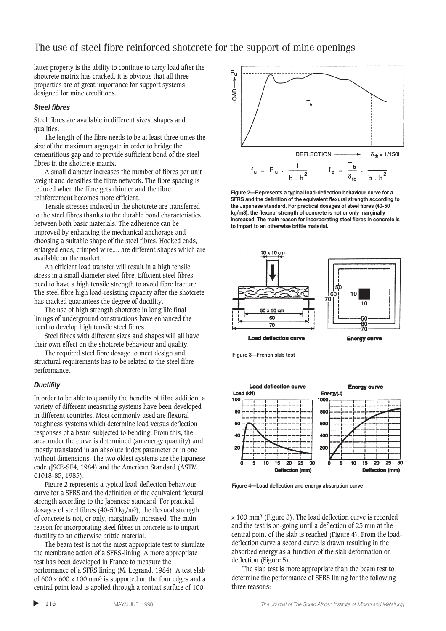latter property is the ability to continue to carry load after the shotcrete matrix has cracked. It is obvious that all three properties are of great importance for support systems designed for mine conditions.

### *Steel fibres*

Steel fibres are available in different sizes, shapes and qualities.

The length of the fibre needs to be at least three times the size of the maximum aggregate in order to bridge the cementitious gap and to provide sufficient bond of the steel fibres in the shotcrete matrix.

A small diameter increases the number of fibres per unit weight and densifies the fibre network. The fibre spacing is reduced when the fibre gets thinner and the fibre reinforcement becomes more efficient.

Tensile stresses induced in the shotcrete are transferred to the steel fibres thanks to the durable bond characteristics between both basic materials. The adherence can be improved by enhancing the mechanical anchorage and choosing a suitable shape of the steel fibres. Hooked ends, enlarged ends, crimped wire,... are different shapes which are available on the market.

An efficient load transfer will result in a high tensile stress in a small diameter steel fibre. Efficient steel fibres need to have a high tensile strength to avoid fibre fracture. The steel fibre high load-resisting capacity after the shotcrete has cracked guarantees the degree of ductility.

The use of high strength shotcrete in long life final linings of underground constructions have enhanced the need to develop high tensile steel fibres.

Steel fibres with different sizes and shapes will all have their own effect on the shotcrete behaviour and quality.

The required steel fibre dosage to meet design and structural requirements has to be related to the steel fibre performance.

### *Ductility*

In order to be able to quantify the benefits of fibre addition, a variety of different measuring systems have been developed in different countries. Most commonly used are flexural toughness systems which determine load versus deflection responses of a beam subjected to bending. From this, the area under the curve is determined (an energy quantity) and mostly translated in an absolute index parameter or in one without dimensions. The two oldest systems are the Japanese code (JSCE-SF4, 1984) and the American Standard (ASTM C1018-85, 1985).

Figure 2 represents a typical load-deflection behaviour curve for a SFRS and the definition of the equivalent flexural strength according to the Japanese standard. For practical dosages of steel fibres (40-50 kg/m3), the flexural strength of concrete is not, or only, marginally increased. The main reason for incorporating steel fibres in concrete is to impart ductility to an otherwise brittle material.

The beam test is not the most appropriate test to simulate the membrane action of a SFRS-lining. A more appropriate test has been developed in France to measure the performance of a SFRS lining (M. Legrand, 1984). A test slab of 600  $\times$  600  $\times$  100 mm<sup>3</sup> is supported on the four edges and a central point load is applied through a contact surface of 100

▲



**Figure 2—Represents a typical load-deflection behaviour curve for a SFRS and the definition of the equivalent flexural strength according to the Japanese standard. For practical dosages of steel fibres (40-50 kg/m3), the flexural strength of concrete is not or only marginally increased. The main reason for incorporating steel fibres in concrete is to impart to an otherwise brittle material.**





**Load deflection curve** 

**Energy curve** 



**Load deflection curve Energy curve** Load (kN) Energy(J) 100 1000  $80$ 800 600 60 40C 4C  $\alpha$ 200 10 15  $\overline{20}$  $\overline{25}$ 30 15  $\overline{20}$  $\overline{25}$ 30 Deflection (mm) Deflection (mm)

**Figure 4—Load deflection and energy absorption curve**

x 100 mm2 (Figure 3). The load deflection curve is recorded and the test is on-going until a deflection of 25 mm at the central point of the slab is reached (Figure 4). From the loaddeflection curve a second curve is drawn resulting in the absorbed energy as a function of the slab deformation or deflection (Figure 5).

The slab test is more appropriate than the beam test to determine the performance of SFRS lining for the following three reasons: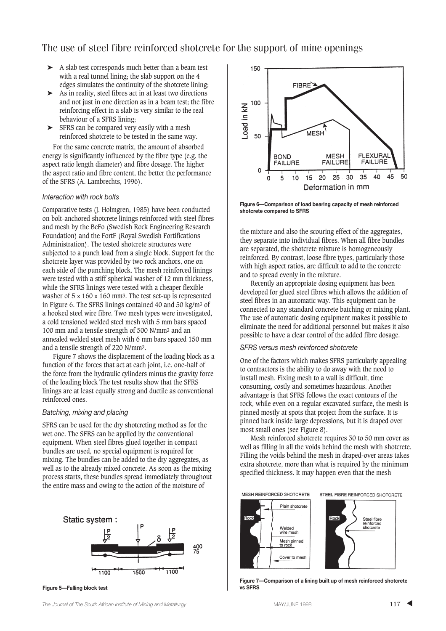- ➤ A slab test corresponds much better than a beam test with a real tunnel lining; the slab support on the 4 edges simulates the continuity of the shotcrete lining;
- ➤ As in reality, steel fibres act in at least two directions and not just in one direction as in a beam test; the fibre reinforcing effect in a slab is very similar to the real behaviour of a SFRS lining;
- ➤ SFRS can be compared very easily with a mesh reinforced shotcrete to be tested in the same way.

For the same concrete matrix, the amount of absorbed energy is significantly influenced by the fibre type (e.g. the aspect ratio length diameter) and fibre dosage. The higher the aspect ratio and fibre content, the better the performance of the SFRS (A. Lambrechts, 1996).

### *Interaction with rock bolts*

Comparative tests (J. Holmgren, 1985) have been conducted on bolt-anchored shotcrete linings reinforced with steel fibres and mesh by the BeFo (Swedish Rock Engineering Research Foundation) and the FortF (Royal Swedish Fortifications Administration). The tested shotcrete structures were subjected to a punch load from a single block. Support for the shotcrete layer was provided by two rock anchors, one on each side of the punching block. The mesh reinforced linings were tested with a stiff spherical washer of 12 mm thickness, while the SFRS linings were tested with a cheaper flexible washer of  $5 \times 160 \times 160$  mm<sup>3</sup>. The test set-up is represented in Figure 6. The SFRS linings contained 40 and 50 kg/m3 of a hooked steel wire fibre. Two mesh types were investigated, a cold tensioned welded steel mesh with 5 mm bars spaced 100 mm and a tensile strength of 500 N/mm2 and an annealed welded steel mesh with 6 mm bars spaced 150 mm and a tensile strength of 220 N/mm2.

Figure 7 shows the displacement of the loading block as a function of the forces that act at each joint, i.e. one-half of the force from the hydraulic cylinders minus the gravity force of the loading block The test results show that the SFRS linings are at least equally strong and ductile as conventional reinforced ones.

### *Batching, mixing and placing*

SFRS can be used for the dry shotcreting method as for the wet one. The SFRS can be applied by the conventional equipment. When steel fibres glued together in compact bundles are used, no special equipment is required for mixing. The bundles can be added to the dry aggregates, as well as to the already mixed concrete. As soon as the mixing process starts, these bundles spread immediately throughout the entire mass and owing to the action of the moisture of



**Figure 5—Falling block test**



**Figure 6—Comparison of load bearing capacity of mesh reinforced shotcrete compared to SFRS**

the mixture and also the scouring effect of the aggregates, they separate into individual fibres. When all fibre bundles are separated, the shotcrete mixture is homogeneously reinforced. By contrast, loose fibre types, particularly those with high aspect ratios, are difficult to add to the concrete and to spread evenly in the mixture.

Recently an appropriate dosing equipment has been developed for glued steel fibres which allows the addition of steel fibres in an automatic way. This equipment can be connected to any standard concrete batching or mixing plant. The use of automatic dosing equipment makes it possible to eliminate the need for additional personnel but makes it also possible to have a clear control of the added fibre dosage.

### *SFRS versus mesh reinforced shotcrete*

One of the factors which makes SFRS particularly appealing to contractors is the ability to do away with the need to install mesh. Fixing mesh to a wall is difficult, time consuming, costly and sometimes hazardous. Another advantage is that SFRS follows the exact contours of the rock, while even on a regular excavated surface, the mesh is pinned mostly at spots that project from the surface. It is pinned back inside large depressions, but it is draped over most small ones (see Figure 8).

Mesh reinforced shotcrete requires 30 to 50 mm cover as well as filling in all the voids behind the mesh with shotcrete. Filling the voids behind the mesh in draped-over areas takes extra shotcrete, more than what is required by the minimum specified thickness. It may happen even that the mesh

MESH REINFORCED SHOTCRETE







**Figure 7—Comparison of a lining built up of mesh reinforced shotcrete vs SFRS**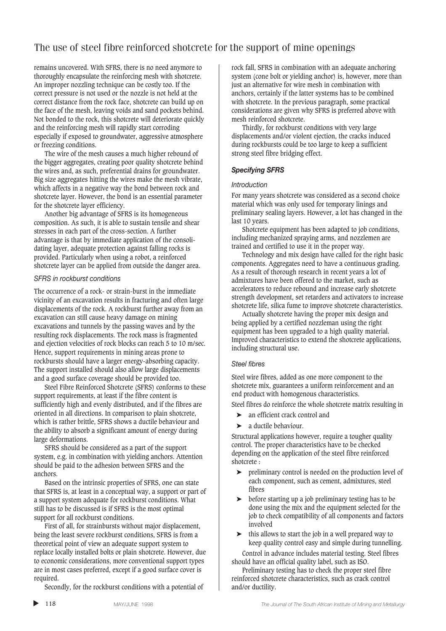remains uncovered. With SFRS, there is no need anymore to thoroughly encapsulate the reinforcing mesh with shotcrete. An improper nozzling technique can be costly too. If the correct pressure is not used or the nozzle is not held at the correct distance from the rock face, shotcrete can build up on the face of the mesh, leaving voids and sand pockets behind. Not bonded to the rock, this shotcrete will deteriorate quickly and the reinforcing mesh will rapidly start corroding especially if exposed to groundwater, aggressive atmosphere or freezing conditions.

The wire of the mesh causes a much higher rebound of the bigger aggregates, creating poor quality shotcrete behind the wires and, as such, preferential drains for groundwater. Big size aggregates hitting the wires make the mesh vibrate, which affects in a negative way the bond between rock and shotcrete layer. However, the bond is an essential parameter for the shotcrete layer efficiency.

Another big advantage of SFRS is its homogeneous composition. As such, it is able to sustain tensile and shear stresses in each part of the cross-section. A further advantage is that by immediate application of the consolidating layer, adequate protection against falling rocks is provided. Particularly when using a robot, a reinforced shotcrete layer can be applied from outside the danger area.

### *SFRS in rockburst conditions*

The occurrence of a rock- or strain-burst in the immediate vicinity of an excavation results in fracturing and often large displacements of the rock. A rockburst further away from an excavation can still cause heavy damage on mining excavations and tunnels by the passing waves and by the resulting rock displacements. The rock mass is fragmented and ejection velocities of rock blocks can reach 5 to 10 m/sec. Hence, support requirements in mining areas prone to rockbursts should have a larger energy-absorbing capacity. The support installed should also allow large displacements and a good surface coverage should be provided too.

Steel Fibre Reinforced Shotcrete (SFRS) conforms to these support requirements, at least if the fibre content is sufficiently high and evenly distributed, and if the fibres are oriented in all directions. In comparison to plain shotcrete, which is rather brittle, SFRS shows a ductile behaviour and the ability to absorb a significant amount of energy during large deformations.

SFRS should be considered as a part of the support system, e.g. in combination with yielding anchors. Attention should be paid to the adhesion between SFRS and the anchors.

Based on the intrinsic properties of SFRS, one can state that SFRS is, at least in a conceptual way, a support or part of a support system adequate for rockburst conditions. What still has to be discussed is if SFRS is the most optimal support for all rockburst conditions.

First of all, for strainbursts without major displacement, being the least severe rockburst conditions, SFRS is from a theoretical point of view an adequate support system to replace locally installed bolts or plain shotcrete. However, due to economic considerations, more conventional support types are in most cases preferred, except if a good surface cover is required.

Secondly, for the rockburst conditions with a potential of

rock fall, SFRS in combination with an adequate anchoring system (cone bolt or yielding anchor) is, however, more than just an alternative for wire mesh in combination with anchors, certainly if the latter systems has to be combined with shotcrete. In the previous paragraph, some practical considerations are given why SFRS is preferred above with mesh reinforced shotcrete.

Thirdly, for rockburst conditions with very large displacements and/or violent ejection, the cracks induced during rockbursts could be too large to keep a sufficient strong steel fibre bridging effect.

### *Specifying SFRS*

### *Introduction*

For many years shotcrete was considered as a second choice material which was only used for temporary linings and preliminary sealing layers. However, a lot has changed in the last 10 years.

Shotcrete equipment has been adapted to job conditions, including mechanized spraying arms, and nozzlemen are trained and certified to use it in the proper way.

Technology and mix design have called for the right basic components. Aggregates need to have a continuous grading. As a result of thorough research in recent years a lot of admixtures have been offered to the market, such as accelerators to reduce rebound and increase early shotcrete strength development, set retarders and activators to increase shotcrete life, silica fume to improve shotcrete characteristics.

Actually shotcrete having the proper mix design and being applied by a certified nozzleman using the right equipment has been upgraded to a high quality material. Improved characteristics to extend the shotcrete applications, including structural use.

### *Steel fibres*

Steel wire fibres, added as one more component to the shotcrete mix, guarantees a uniform reinforcement and an end product with homogenous characteristics.

Steel fibres do reinforce the whole shotcrete matrix resulting in

- ➤ an efficient crack control and
- $\blacktriangleright$  a ductile behaviour.

Structural applications however, require a tougher quality control. The proper characteristics have to be checked depending on the application of the steel fibre reinforced shotcrete :

- ➤ preliminary control is needed on the production level of each component, such as cement, admixtures, steel fibres
- ➤ before starting up a job preliminary testing has to be done using the mix and the equipment selected for the job to check compatibility of all components and factors involved
- ➤ this allows to start the job in a well prepared way to keep quality control easy and simple during tunnelling.

Control in advance includes material testing. Steel fibres should have an official quality label, such as ISO.

Preliminary testing has to check the proper steel fibre reinforced shotcrete characteristics, such as crack control and/or ductility.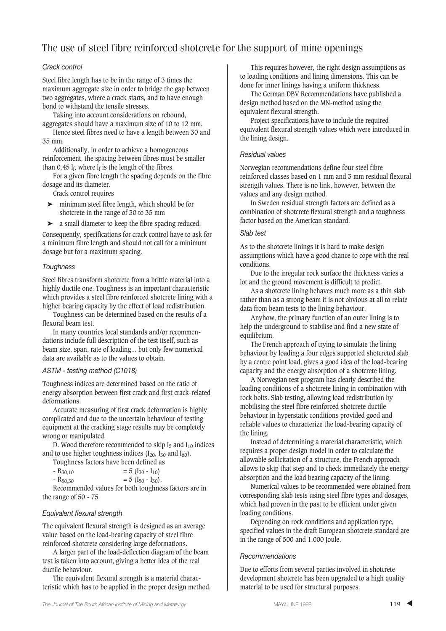### *Crack control*

Steel fibre length has to be in the range of 3 times the maximum aggregate size in order to bridge the gap between two aggregates, where a crack starts, and to have enough bond to withstand the tensile stresses.

Taking into account considerations on rebound, aggregates should have a maximum size of 10 to 12 mm.

Hence steel fibres need to have a length between 30 and 35 mm.

Additionally, in order to achieve a homogeneous reinforcement, the spacing between fibres must be smaller than 0.45  $l_f$ , where  $l_f$  is the length of the fibres.

For a given fibre length the spacing depends on the fibre dosage and its diameter.

Crack control requires

- ➤ minimum steel fibre length, which should be for shotcrete in the range of 30 to 35 mm
- ➤ a small diameter to keep the fibre spacing reduced.

Consequently, specifications for crack control have to ask for a minimum fibre length and should not call for a minimum dosage but for a maximum spacing.

### *Toughness*

Steel fibres transform shotcrete from a brittle material into a highly ductile one. Toughness is an important characteristic which provides a steel fibre reinforced shotcrete lining with a higher bearing capacity by the effect of load redistribution.

Toughness can be determined based on the results of a flexural beam test.

In many countries local standards and/or recommendations include full description of the test itself, such as beam size, span, rate of loading... but only few numerical data are available as to the values to obtain.

### *ASTM - testing method (C1018)*

Toughness indices are determined based on the ratio of energy absorption between first crack and first crack-related deformations.

Accurate measuring of first crack deformation is highly complicated and due to the uncertain behaviour of testing equipment at the cracking stage results may be completely wrong or manipulated.

D. Wood therefore recommended to skip  $I_5$  and  $I_{10}$  indices and to use higher toughness indices  $(I_{20}, I_{30}$  and  $I_{60})$ .

Toughness factors have been defined as

| $-$ R <sub>30.10</sub> | $= 5$ (I <sub>30</sub> - I <sub>10</sub> )           |
|------------------------|------------------------------------------------------|
| $-$ R <sub>50.30</sub> | $= 5$ (I <sub>50</sub> - I <sub>30</sub> ).          |
|                        | Desember de de Jacob de la de de la concedence de la |

Recommended values for both toughness factors are in the range of 50 - 75

### *Equivalent flexural strength*

The equivalent flexural strength is designed as an average value based on the load-bearing capacity of steel fibre reinforced shotcrete considering large deformations.

A larger part of the load-deflection diagram of the beam test is taken into account, giving a better idea of the real ductile behaviour.

The equivalent flexural strength is a material characteristic which has to be applied in the proper design method.

This requires however, the right design assumptions as to loading conditions and lining dimensions. This can be done for inner linings having a uniform thickness.

The German DBV Recommendations have published a design method based on the MN-method using the equivalent flexural strength.

Project specifications have to include the required equivalent flexural strength values which were introduced in the lining design.

### *Residual values*

Norwegian recommendations define four steel fibre reinforced classes based on 1 mm and 3 mm residual flexural strength values. There is no link, however, between the values and any design method.

In Sweden residual strength factors are defined as a combination of shotcrete flexural strength and a toughness factor based on the American standard.

### *Slab test*

As to the shotcrete linings it is hard to make design assumptions which have a good chance to cope with the real conditions.

Due to the irregular rock surface the thickness varies a lot and the ground movement is difficult to predict.

As a shotcrete lining behaves much more as a thin slab rather than as a strong beam it is not obvious at all to relate data from beam tests to the lining behaviour.

Anyhow, the primary function of an outer lining is to help the underground to stabilise and find a new state of equilibrium.

The French approach of trying to simulate the lining behaviour by loading a four edges supported shotcreted slab by a centre point load, gives a good idea of the load-bearing capacity and the energy absorption of a shotcrete lining.

A Norwegian test program has clearly described the loading conditions of a shotcrete lining in combination with rock bolts. Slab testing, allowing load redistribution by mobilising the steel fibre reinforced shotcrete ductile behaviour in hyperstatic conditions provided good and reliable values to characterize the load-bearing capacity of the lining.

Instead of determining a material characteristic, which requires a proper design model in order to calculate the allowable sollicitation of a structure, the French approach allows to skip that step and to check immediately the energy absorption and the load bearing capacity of the lining.

Numerical values to be recommended were obtained from corresponding slab tests using steel fibre types and dosages, which had proven in the past to be efficient under given loading conditions.

Depending on rock conditions and application type, specified values in the draft European shotcrete standard are in the range of 500 and 1.000 Joule.

### *Recommendations*

Due to efforts from several parties involved in shotcrete development shotcrete has been upgraded to a high quality material to be used for structural purposes.